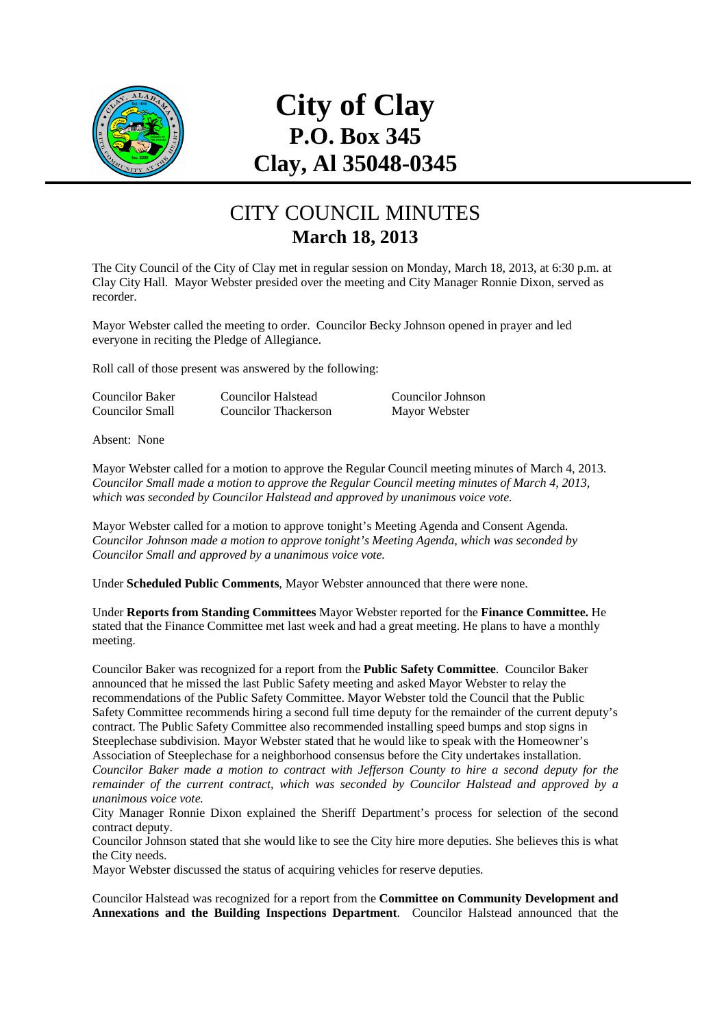

# **City of Clay P.O. Box 345 Clay, Al 35048-0345**

## CITY COUNCIL MINUTES **March 18, 2013**

The City Council of the City of Clay met in regular session on Monday, March 18, 2013, at 6:30 p.m. at Clay City Hall. Mayor Webster presided over the meeting and City Manager Ronnie Dixon, served as recorder.

Mayor Webster called the meeting to order. Councilor Becky Johnson opened in prayer and led everyone in reciting the Pledge of Allegiance.

Roll call of those present was answered by the following:

Councilor Baker Councilor Halstead Councilor Johnson

Councilor Small Councilor Thackerson Mayor Webster

Absent: None

Mayor Webster called for a motion to approve the Regular Council meeting minutes of March 4, 2013. *Councilor Small made a motion to approve the Regular Council meeting minutes of March 4, 2013, which was seconded by Councilor Halstead and approved by unanimous voice vote.* 

Mayor Webster called for a motion to approve tonight's Meeting Agenda and Consent Agenda. *Councilor Johnson made a motion to approve tonight's Meeting Agenda, which was seconded by Councilor Small and approved by a unanimous voice vote.* 

Under **Scheduled Public Comments**, Mayor Webster announced that there were none.

Under **Reports from Standing Committees** Mayor Webster reported for the **Finance Committee.** He stated that the Finance Committee met last week and had a great meeting. He plans to have a monthly meeting.

Councilor Baker was recognized for a report from the **Public Safety Committee**. Councilor Baker announced that he missed the last Public Safety meeting and asked Mayor Webster to relay the recommendations of the Public Safety Committee. Mayor Webster told the Council that the Public Safety Committee recommends hiring a second full time deputy for the remainder of the current deputy's contract. The Public Safety Committee also recommended installing speed bumps and stop signs in Steeplechase subdivision. Mayor Webster stated that he would like to speak with the Homeowner's Association of Steeplechase for a neighborhood consensus before the City undertakes installation. *Councilor Baker made a motion to contract with Jefferson County to hire a second deputy for the remainder of the current contract, which was seconded by Councilor Halstead and approved by a unanimous voice vote.* 

City Manager Ronnie Dixon explained the Sheriff Department's process for selection of the second contract deputy.

Councilor Johnson stated that she would like to see the City hire more deputies. She believes this is what the City needs.

Mayor Webster discussed the status of acquiring vehicles for reserve deputies.

Councilor Halstead was recognized for a report from the **Committee on Community Development and Annexations and the Building Inspections Department**. Councilor Halstead announced that the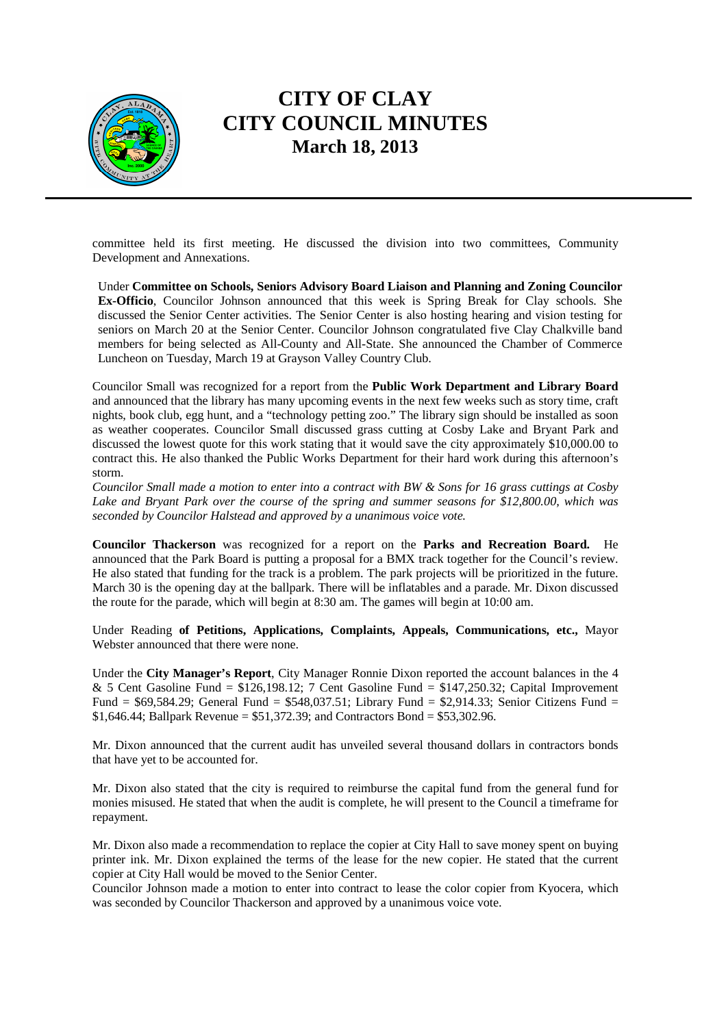

## **CITY OF CLAY CITY COUNCIL MINUTES March 18, 2013**

committee held its first meeting. He discussed the division into two committees, Community Development and Annexations.

Under **Committee on Schools, Seniors Advisory Board Liaison and Planning and Zoning Councilor Ex-Officio**, Councilor Johnson announced that this week is Spring Break for Clay schools. She discussed the Senior Center activities. The Senior Center is also hosting hearing and vision testing for seniors on March 20 at the Senior Center. Councilor Johnson congratulated five Clay Chalkville band members for being selected as All-County and All-State. She announced the Chamber of Commerce Luncheon on Tuesday, March 19 at Grayson Valley Country Club.

Councilor Small was recognized for a report from the **Public Work Department and Library Board** and announced that the library has many upcoming events in the next few weeks such as story time, craft nights, book club, egg hunt, and a "technology petting zoo." The library sign should be installed as soon as weather cooperates. Councilor Small discussed grass cutting at Cosby Lake and Bryant Park and discussed the lowest quote for this work stating that it would save the city approximately \$10,000.00 to contract this. He also thanked the Public Works Department for their hard work during this afternoon's storm.

*Councilor Small made a motion to enter into a contract with BW & Sons for 16 grass cuttings at Cosby Lake and Bryant Park over the course of the spring and summer seasons for \$12,800.00, which was seconded by Councilor Halstead and approved by a unanimous voice vote.* 

**Councilor Thackerson** was recognized for a report on the **Parks and Recreation Board.** He announced that the Park Board is putting a proposal for a BMX track together for the Council's review. He also stated that funding for the track is a problem. The park projects will be prioritized in the future. March 30 is the opening day at the ballpark. There will be inflatables and a parade. Mr. Dixon discussed the route for the parade, which will begin at 8:30 am. The games will begin at 10:00 am.

Under Reading **of Petitions, Applications, Complaints, Appeals, Communications, etc.,** Mayor Webster announced that there were none.

Under the **City Manager's Report**, City Manager Ronnie Dixon reported the account balances in the 4 & 5 Cent Gasoline Fund =  $$126,198.12$ ; 7 Cent Gasoline Fund =  $$147,250.32$ ; Capital Improvement Fund = \$69,584.29; General Fund = \$548,037.51; Library Fund = \$2,914.33; Senior Citizens Fund = \$1,646.44; Ballpark Revenue =  $$51,372.39$ ; and Contractors Bond = \$53,302.96.

Mr. Dixon announced that the current audit has unveiled several thousand dollars in contractors bonds that have yet to be accounted for.

Mr. Dixon also stated that the city is required to reimburse the capital fund from the general fund for monies misused. He stated that when the audit is complete, he will present to the Council a timeframe for repayment.

Mr. Dixon also made a recommendation to replace the copier at City Hall to save money spent on buying printer ink. Mr. Dixon explained the terms of the lease for the new copier. He stated that the current copier at City Hall would be moved to the Senior Center.

Councilor Johnson made a motion to enter into contract to lease the color copier from Kyocera, which was seconded by Councilor Thackerson and approved by a unanimous voice vote.